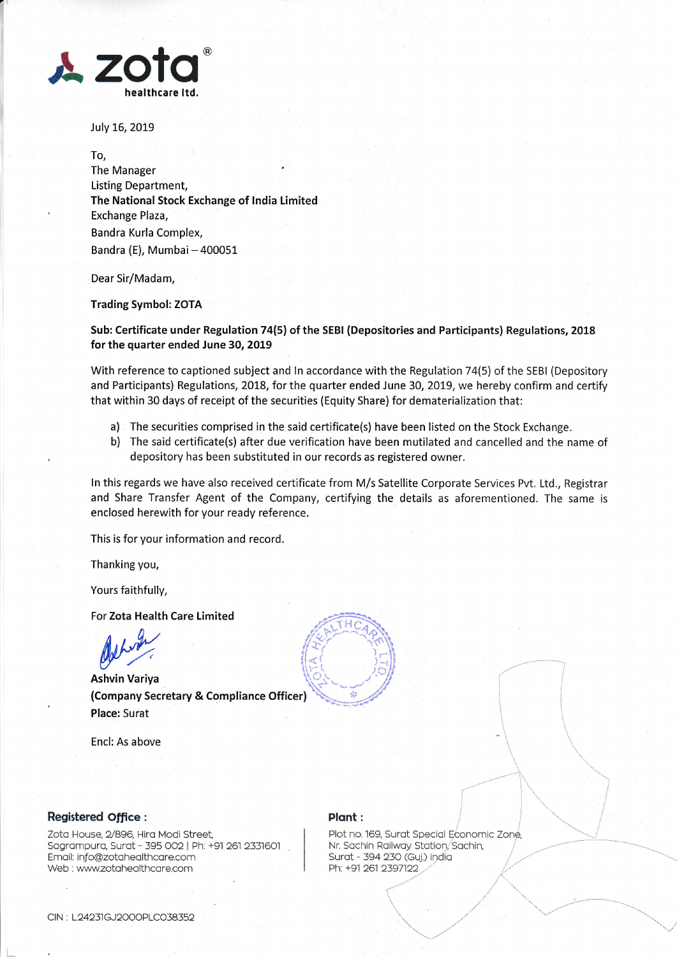

July 16, 2019

To, The Manager ' Listing Department, The National Stock Exchange of lndia Limited Exchange Plaza, Bandra Kurla Complex, Bandra (E), Mumbai - 400051

Dear Sir/Madam,

Trading Symbol: ZOTA

Sub: Certificate under Regulation 74(5) of the SEBI (Depositories and Participants) Regulations, 2018 for the quarter ended June 30, 2019

With reference to captioned subject and ln accordance with the Regulation 74(5) of the SEBI (Depository and Participants) Regulations, 2018, forthe quarter ended June 30, 2019, we hereby confirm and certify that within 30 days of receipt of the securities (Equity Share) for dematerialization that:

- a) The securities comprised in the said certificate(s) have been listed on the Stock Exchange.
- b) The said certificate(s) after due verification have been mutilated and cancelled and the name of depository has been substituted in our records as registered owner.

ln this regards we have also received certificate from M/s Satellite Corporate Services Pvt. Ltd., Registrar and Share Transfer Agent of the Company, certifying the details as aforementioned. The same is enclosed herewith for your ready reference.

This is for your information and record.

Thanking you,

Yours faithfully,

For Zota Health Care Limited

For Zota Health Care Limited<br>
Ashvin Variya (Company Secretary & Compliance Officer) Place: Surat

Encl: As above



## Registered office :

Zoto House, 2/896, Hiro Modi Street, Sagrampura, Surat - 395 002 | Ph: +91 261 2331601 Email: info@zotahealthcare.com Web : www.zotahealthcare.com

## Plant:  $\left\vert \begin{array}{ccc} \cdot & \cdot & \cdot \end{array} \right\vert$

Plant :<br>Plot no. 169, Surat Special Economic Zone Nr. Sachin Railway Station, Sachin, Surat - 394 230 (Guj.) India Ph: +91 261 2397122

 $(\mathcal{C}^*)^* \neq \mathcal{C}$ 

,.""'

 $\times$  ,  $\times$   $\times$ 

 $\sqrt{2}$ 

-----i

t'-'